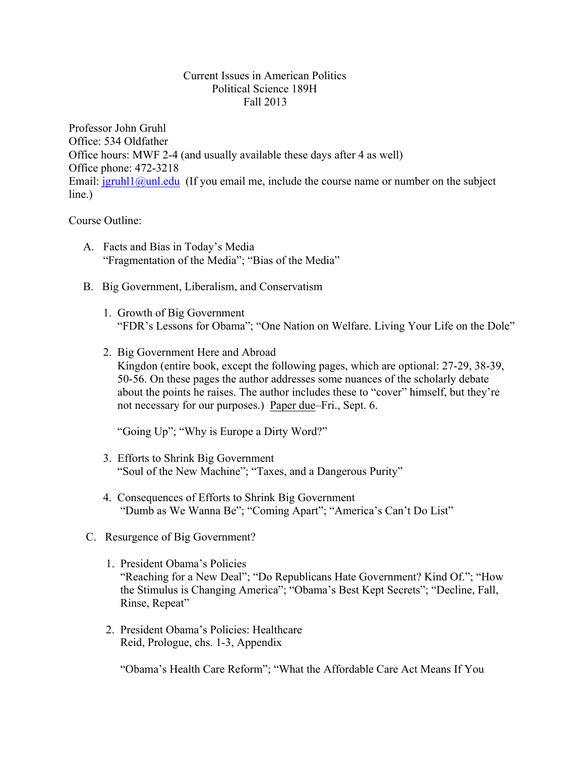## Current Issues in American Politics Political Science 189H Fall 2013

Professor John Gruhl Office: 534 Oldfather Office hours: MWF 2-4 (and usually available these days after 4 as well) Office phone: 472-3218 Email:  $j$ gruhl1@unl.edu (If you email me, include the course name or number on the subject line.)

## Course Outline:

- A. Facts and Bias in Today's Media "Fragmentation of the Media"; "Bias of the Media"
- B. Big Government, Liberalism, and Conservatism
	- 1. Growth of Big Government "FDR's Lessons for Obama"; "One Nation on Welfare. Living Your Life on the Dole"
	- 2. Big Government Here and Abroad Kingdon (entire book, except the following pages, which are optional: 27-29, 38-39, 50-56. On these pages the author addresses some nuances of the scholarly debate about the points he raises. The author includes these to "cover" himself, but they're not necessary for our purposes.) Paper due–Fri., Sept. 6.

"Going Up"; "Why is Europe a Dirty Word?"

- 3. Efforts to Shrink Big Government "Soul of the New Machine"; "Taxes, and a Dangerous Purity"
- 4. Consequences of Efforts to Shrink Big Government "Dumb as We Wanna Be"; "Coming Apart"; "America's Can't Do List"
- C. Resurgence of Big Government?
	- 1. President Obama's Policies "Reaching for a New Deal"; "Do Republicans Hate Government? Kind Of."; "How the Stimulus is Changing America"; "Obama's Best Kept Secrets"; "Decline, Fall, Rinse, Repeat"
	- 2. President Obama's Policies: Healthcare Reid, Prologue, chs. 1-3, Appendix

"Obama's Health Care Reform"; "What the Affordable Care Act Means If You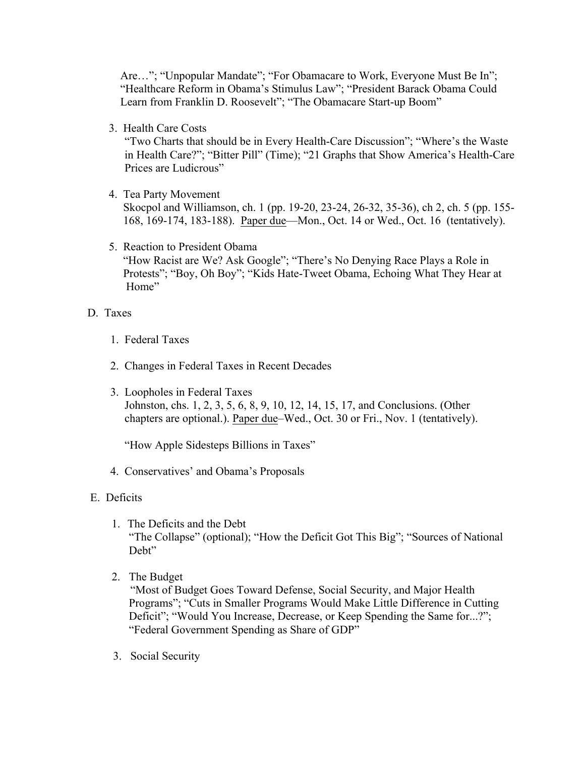Are..."; "Unpopular Mandate"; "For Obamacare to Work, Everyone Must Be In"; "Healthcare Reform in Obama's Stimulus Law"; "President Barack Obama Could Learn from Franklin D. Roosevelt"; "The Obamacare Start-up Boom"

3. Health Care Costs

"Two Charts that should be in Every Health-Care Discussion"; "Where's the Waste in Health Care?"; "Bitter Pill" (Time); "21 Graphs that Show America's Health-Care Prices are Ludicrous"

4. Tea Party Movement

 Skocpol and Williamson, ch. 1 (pp. 19-20, 23-24, 26-32, 35-36), ch 2, ch. 5 (pp. 155- 168, 169-174, 183-188). Paper due—Mon., Oct. 14 or Wed., Oct. 16 (tentatively).

 5. Reaction to President Obama "How Racist are We? Ask Google"; "There's No Denying Race Plays a Role in Protests"; "Boy, Oh Boy"; "Kids Hate-Tweet Obama, Echoing What They Hear at Home"

## D. Taxes

- 1. Federal Taxes
- 2. Changes in Federal Taxes in Recent Decades
- 3. Loopholes in Federal Taxes Johnston, chs. 1, 2, 3, 5, 6, 8, 9, 10, 12, 14, 15, 17, and Conclusions. (Other chapters are optional.). Paper due–Wed., Oct. 30 or Fri., Nov. 1 (tentatively).

"How Apple Sidesteps Billions in Taxes"

- 4. Conservatives' and Obama's Proposals
- E. Deficits
	- 1. The Deficits and the Debt "The Collapse" (optional); "How the Deficit Got This Big"; "Sources of National Debt"
	- 2. The Budget

"Most of Budget Goes Toward Defense, Social Security, and Major Health Programs"; "Cuts in Smaller Programs Would Make Little Difference in Cutting Deficit"; "Would You Increase, Decrease, or Keep Spending the Same for...?"; "Federal Government Spending as Share of GDP"

3. Social Security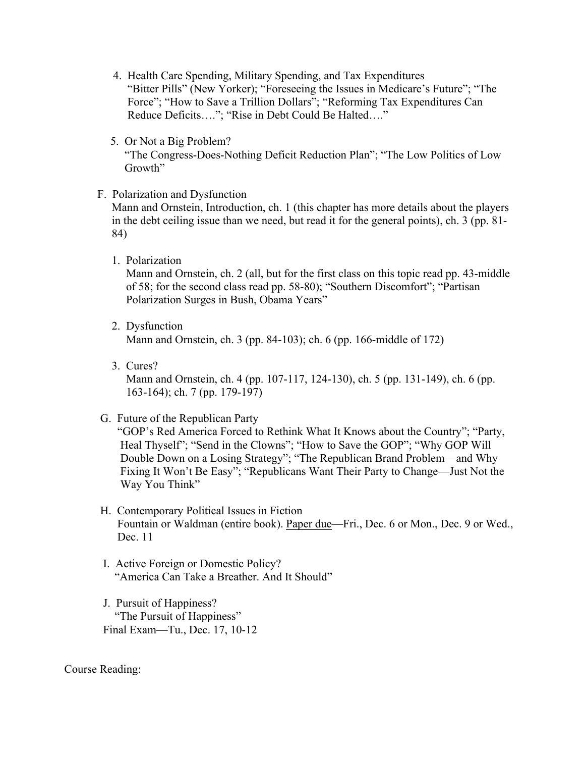- 4. Health Care Spending, Military Spending, and Tax Expenditures "Bitter Pills" (New Yorker); "Foreseeing the Issues in Medicare's Future"; "The Force"; "How to Save a Trillion Dollars"; "Reforming Tax Expenditures Can Reduce Deficits…."; "Rise in Debt Could Be Halted…."
- 5. Or Not a Big Problem? "The Congress-Does-Nothing Deficit Reduction Plan"; "The Low Politics of Low Growth"
- F. Polarization and Dysfunction

 Mann and Ornstein, Introduction, ch. 1 (this chapter has more details about the players in the debt ceiling issue than we need, but read it for the general points), ch. 3 (pp. 81- 84)

1. Polarization

 Mann and Ornstein, ch. 2 (all, but for the first class on this topic read pp. 43-middle of 58; for the second class read pp. 58-80); "Southern Discomfort"; "Partisan Polarization Surges in Bush, Obama Years"

2. Dysfunction

Mann and Ornstein, ch. 3 (pp. 84-103); ch. 6 (pp. 166-middle of 172)

- 3. Cures? Mann and Ornstein, ch. 4 (pp. 107-117, 124-130), ch. 5 (pp. 131-149), ch. 6 (pp. 163-164); ch. 7 (pp. 179-197)
- G. Future of the Republican Party

 "GOP's Red America Forced to Rethink What It Knows about the Country"; "Party, Heal Thyself"; "Send in the Clowns"; "How to Save the GOP"; "Why GOP Will Double Down on a Losing Strategy"; "The Republican Brand Problem—and Why Fixing It Won't Be Easy"; "Republicans Want Their Party to Change—Just Not the Way You Think"

- H. Contemporary Political Issues in Fiction Fountain or Waldman (entire book). Paper due—Fri., Dec. 6 or Mon., Dec. 9 or Wed., Dec. 11
- I. Active Foreign or Domestic Policy? "America Can Take a Breather. And It Should"
- J. Pursuit of Happiness? "The Pursuit of Happiness" Final Exam—Tu., Dec. 17, 10-12

Course Reading: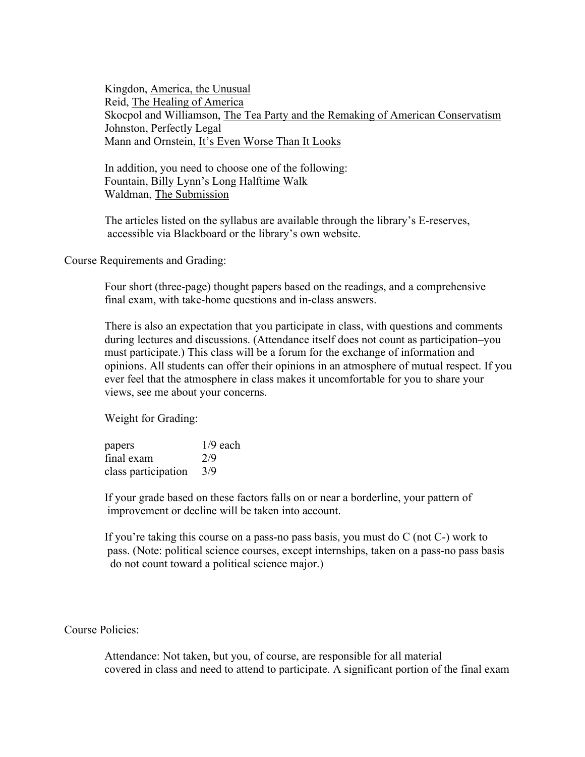Kingdon, America, the Unusual Reid, The Healing of America Skocpol and Williamson, The Tea Party and the Remaking of American Conservatism Johnston, Perfectly Legal Mann and Ornstein, It's Even Worse Than It Looks

 In addition, you need to choose one of the following: Fountain, Billy Lynn's Long Halftime Walk Waldman, The Submission

 The articles listed on the syllabus are available through the library's E-reserves, accessible via Blackboard or the library's own website.

Course Requirements and Grading:

 Four short (three-page) thought papers based on the readings, and a comprehensive final exam, with take-home questions and in-class answers.

 There is also an expectation that you participate in class, with questions and comments during lectures and discussions. (Attendance itself does not count as participation–you must participate.) This class will be a forum for the exchange of information and opinions. All students can offer their opinions in an atmosphere of mutual respect. If you ever feel that the atmosphere in class makes it uncomfortable for you to share your views, see me about your concerns.

Weight for Grading:

| papers              | $1/9$ each |
|---------------------|------------|
| final exam          | 2/9        |
| class participation | 3/9        |

 If your grade based on these factors falls on or near a borderline, your pattern of improvement or decline will be taken into account.

 If you're taking this course on a pass-no pass basis, you must do C (not C-) work to pass. (Note: political science courses, except internships, taken on a pass-no pass basis do not count toward a political science major.)

Course Policies:

 Attendance: Not taken, but you, of course, are responsible for all material covered in class and need to attend to participate. A significant portion of the final exam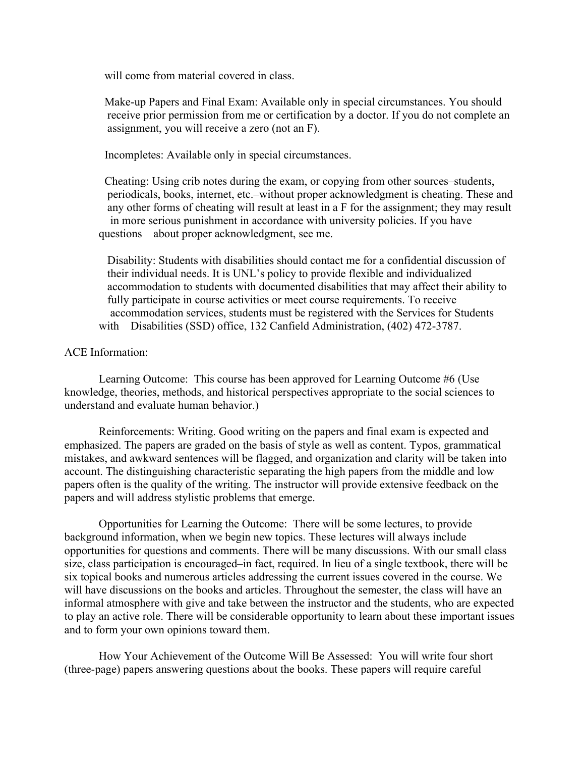will come from material covered in class.

 Make-up Papers and Final Exam: Available only in special circumstances. You should receive prior permission from me or certification by a doctor. If you do not complete an assignment, you will receive a zero (not an F).

Incompletes: Available only in special circumstances.

 Cheating: Using crib notes during the exam, or copying from other sources–students, periodicals, books, internet, etc.–without proper acknowledgment is cheating. These and any other forms of cheating will result at least in a F for the assignment; they may result in more serious punishment in accordance with university policies. If you have questions about proper acknowledgment, see me.

 Disability: Students with disabilities should contact me for a confidential discussion of their individual needs. It is UNL's policy to provide flexible and individualized accommodation to students with documented disabilities that may affect their ability to fully participate in course activities or meet course requirements. To receive accommodation services, students must be registered with the Services for Students with Disabilities (SSD) office, 132 Canfield Administration, (402) 472-3787.

## ACE Information:

Learning Outcome: This course has been approved for Learning Outcome #6 (Use knowledge, theories, methods, and historical perspectives appropriate to the social sciences to understand and evaluate human behavior.)

Reinforcements: Writing. Good writing on the papers and final exam is expected and emphasized. The papers are graded on the basis of style as well as content. Typos, grammatical mistakes, and awkward sentences will be flagged, and organization and clarity will be taken into account. The distinguishing characteristic separating the high papers from the middle and low papers often is the quality of the writing. The instructor will provide extensive feedback on the papers and will address stylistic problems that emerge.

Opportunities for Learning the Outcome: There will be some lectures, to provide background information, when we begin new topics. These lectures will always include opportunities for questions and comments. There will be many discussions. With our small class size, class participation is encouraged–in fact, required. In lieu of a single textbook, there will be six topical books and numerous articles addressing the current issues covered in the course. We will have discussions on the books and articles. Throughout the semester, the class will have an informal atmosphere with give and take between the instructor and the students, who are expected to play an active role. There will be considerable opportunity to learn about these important issues and to form your own opinions toward them.

How Your Achievement of the Outcome Will Be Assessed: You will write four short (three-page) papers answering questions about the books. These papers will require careful